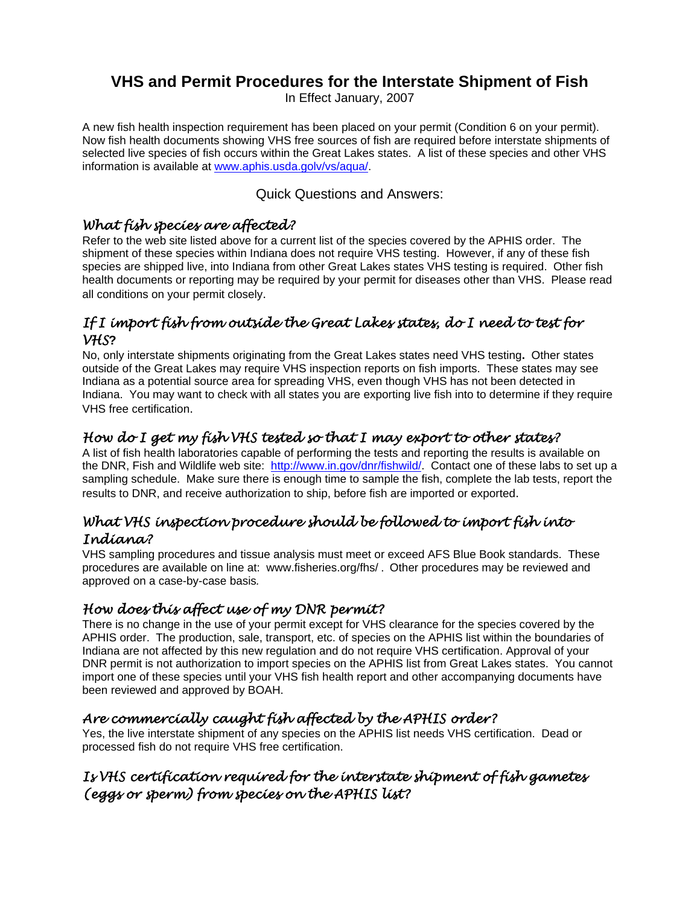# **VHS and Permit Procedures for the Interstate Shipment of Fish**

In Effect January, 2007

A new fish health inspection requirement has been placed on your permit (Condition 6 on your permit). Now fish health documents showing VHS free sources of fish are required before interstate shipments of selected live species of fish occurs within the Great Lakes states. A list of these species and other VHS information is available at [www.aphis.usda.golv/vs/aqua/](http://www.aphis.usda.gov/animal_health/animal_dis_spec/aquaculture/).

Quick Questions and Answers:

#### *What fish species are affected?*

Refer to the web site listed above for a current list of the species covered by the APHIS order. The shipment of these species within Indiana does not require VHS testing. However, if any of these fish species are shipped live, into Indiana from other Great Lakes states VHS testing is required. Other fish health documents or reporting may be required by your permit for diseases other than VHS. Please read all conditions on your permit closely.

### *If I import fish from outside the Great Lakes states, do I need to test for VHS***?**

No, only interstate shipments originating from the Great Lakes states need VHS testing**.** Other states outside of the Great Lakes may require VHS inspection reports on fish imports. These states may see Indiana as a potential source area for spreading VHS, even though VHS has not been detected in Indiana. You may want to check with all states you are exporting live fish into to determine if they require VHS free certification.

### *How do I get my fish VHS tested so that I may export to other states?*

A list of fish health laboratories capable of performing the tests and reporting the results is available on the DNR, Fish and Wildlife web site: http://www.in.gov/dnr/fishwild/. Contact one of these labs to set up a sampling schedule. Make sure there is enough time to sample the fish, complete the lab tests, report the results to DNR, and receive authorization to ship, before fish are imported or exported.

#### *What VHS inspection procedure should be followed to import fish into Indiana?*

VHS sampling procedures and tissue analysis must meet or exceed AFS Blue Book standards. These procedures are available on line at: www.fisheries.org/fhs/ . Other procedures may be reviewed and approved on a case-by-case basis*.* 

### *How does this affect use of my DNR permit?*

There is no change in the use of your permit except for VHS clearance for the species covered by the APHIS order. The production, sale, transport, etc. of species on the APHIS list within the boundaries of Indiana are not affected by this new regulation and do not require VHS certification. Approval of your DNR permit is not authorization to import species on the APHIS list from Great Lakes states. You cannot import one of these species until your VHS fish health report and other accompanying documents have been reviewed and approved by BOAH.

## *Are commercially caught fish affected by the APHIS order?*

Yes, the live interstate shipment of any species on the APHIS list needs VHS certification. Dead or processed fish do not require VHS free certification.

## *Is VHS certification required for the interstate shipment of fish gametes (eggs or sperm) from species on the APHIS list?*